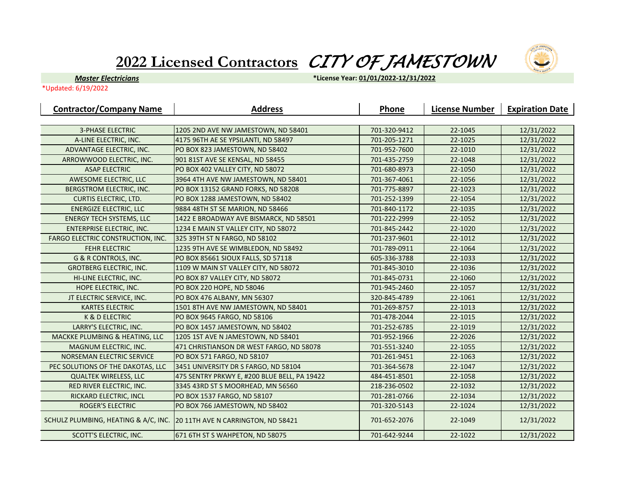## **2022 Licensed Contractors** *CITY OF JAMESTOWN*



*Master Electricians*

**\*License Year: 01/01/2022-12/31/2022**

\*Updated: 6/19/2022

| <b>Contractor/Company Name</b>       | <b>Address</b>                               | Phone        | <b>License Number</b> | <b>Expiration Date</b> |
|--------------------------------------|----------------------------------------------|--------------|-----------------------|------------------------|
|                                      |                                              |              |                       |                        |
| <b>3-PHASE ELECTRIC</b>              | 1205 2ND AVE NW JAMESTOWN, ND 58401          | 701-320-9412 | 22-1045               | 12/31/2022             |
| A-LINE ELECTRIC, INC.                | 4175 96TH AE SE YPSILANTI, ND 58497          | 701-205-1271 | 22-1025               | 12/31/2022             |
| ADVANTAGE ELECTRIC, INC.             | PO BOX 823 JAMESTOWN, ND 58402               | 701-952-7600 | 22-1010               | 12/31/2022             |
| ARROWWOOD ELECTRIC, INC.             | 901 81ST AVE SE KENSAL, ND 58455             | 701-435-2759 | 22-1048               | 12/31/2022             |
| <b>ASAP ELECTRIC</b>                 | PO BOX 402 VALLEY CITY, ND 58072             | 701-680-8973 | 22-1050               | 12/31/2022             |
| AWESOME ELECTRIC, LLC                | 3964 4TH AVE NW JAMESTOWN, ND 58401          | 701-367-4061 | 22-1056               | 12/31/2022             |
| BERGSTROM ELECTRIC, INC.             | PO BOX 13152 GRAND FORKS, ND 58208           | 701-775-8897 | 22-1023               | 12/31/2022             |
| <b>CURTIS ELECTRIC, LTD.</b>         | PO BOX 1288 JAMESTOWN, ND 58402              | 701-252-1399 | 22-1054               | 12/31/2022             |
| <b>ENERGIZE ELECTRIC, LLC</b>        | 9884 48TH ST SE MARION, ND 58466             | 701-840-1172 | 22-1035               | 12/31/2022             |
| <b>ENERGY TECH SYSTEMS, LLC</b>      | 1422 E BROADWAY AVE BISMARCK, ND 58501       | 701-222-2999 | 22-1052               | 12/31/2022             |
| <b>ENTERPRISE ELECTRIC, INC.</b>     | 1234 E MAIN ST VALLEY CITY, ND 58072         | 701-845-2442 | 22-1020               | 12/31/2022             |
| FARGO ELECTRIC CONSTRUCTION, INC.    | 325 39TH ST N FARGO, ND 58102                | 701-237-9601 | 22-1012               | 12/31/2022             |
| <b>FEHR ELECTRIC</b>                 | 1235 9TH AVE SE WIMBLEDON, ND 58492          | 701-789-0911 | 22-1064               | 12/31/2022             |
| <b>G &amp; R CONTROLS, INC.</b>      | PO BOX 85661 SIOUX FALLS, SD 57118           | 605-336-3788 | 22-1033               | 12/31/2022             |
| <b>GROTBERG ELECTRIC, INC.</b>       | 1109 W MAIN ST VALLEY CITY, ND 58072         | 701-845-3010 | 22-1036               | 12/31/2022             |
| HI-LINE ELECTRIC, INC.               | PO BOX 87 VALLEY CITY, ND 58072              | 701-845-0731 | 22-1060               | 12/31/2022             |
| HOPE ELECTRIC, INC.                  | PO BOX 220 HOPE, ND 58046                    | 701-945-2460 | 22-1057               | 12/31/2022             |
| JT ELECTRIC SERVICE, INC.            | PO BOX 476 ALBANY, MN 56307                  | 320-845-4789 | 22-1061               | 12/31/2022             |
| <b>KARTES ELECTRIC</b>               | 1501 8TH AVE NW JAMESTOWN, ND 58401          | 701-269-8757 | 22-1013               | 12/31/2022             |
| K & D ELECTRIC                       | PO BOX 9645 FARGO, ND 58106                  | 701-478-2044 | 22-1015               | 12/31/2022             |
| LARRY'S ELECTRIC, INC.               | PO BOX 1457 JAMESTOWN, ND 58402              | 701-252-6785 | 22-1019               | 12/31/2022             |
| MACKKE PLUMBING & HEATING, LLC       | 1205 1ST AVE N JAMESTOWN, ND 58401           | 701-952-1966 | 22-2026               | 12/31/2022             |
| MAGNUM ELECTRIC, INC.                | 471 CHRISTIANSON DR WEST FARGO, ND 58078     | 701-551-3240 | 22-1055               | 12/31/2022             |
| NORSEMAN ELECTRIC SERVICE            | PO BOX 571 FARGO, ND 58107                   | 701-261-9451 | 22-1063               | 12/31/2022             |
| PEC SOLUTIONS OF THE DAKOTAS, LLC    | 3451 UNIVERSITY DR S FARGO, ND 58104         | 701-364-5678 | 22-1047               | 12/31/2022             |
| <b>QUALTEK WIRELESS, LLC</b>         | 475 SENTRY PRKWY E, #200 BLUE BELL, PA 19422 | 484-451-8501 | 22-1058               | 12/31/2022             |
| RED RIVER ELECTRIC, INC.             | 3345 43RD ST S MOORHEAD, MN 56560            | 218-236-0502 | 22-1032               | 12/31/2022             |
| RICKARD ELECTRIC, INCL               | PO BOX 1537 FARGO, ND 58107                  | 701-281-0766 | 22-1034               | 12/31/2022             |
| <b>ROGER'S ELECTRIC</b>              | PO BOX 766 JAMESTOWN, ND 58402               | 701-320-5143 | 22-1024               | 12/31/2022             |
| SCHULZ PLUMBING, HEATING & A/C, INC. | 20 11TH AVE N CARRINGTON, ND 58421           | 701-652-2076 | 22-1049               | 12/31/2022             |
| SCOTT'S ELECTRIC, INC.               | 671 6TH ST S WAHPETON, ND 58075              | 701-642-9244 | 22-1022               | 12/31/2022             |